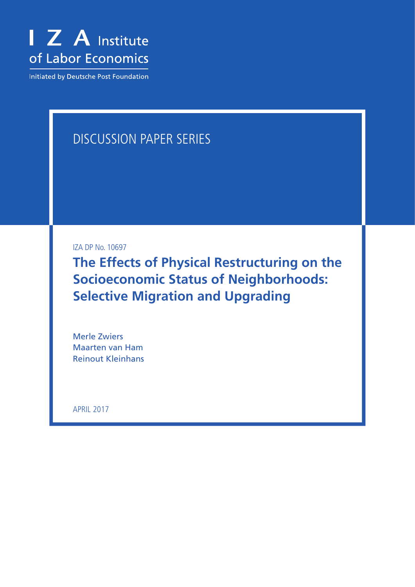

**Initiated by Deutsche Post Foundation** 

# Discussion Paper Series

IZA DP No. 10697

**The Effects of Physical Restructuring on the Socioeconomic Status of Neighborhoods: Selective Migration and Upgrading**

Merle Zwiers Maarten van Ham Reinout Kleinhans

april 2017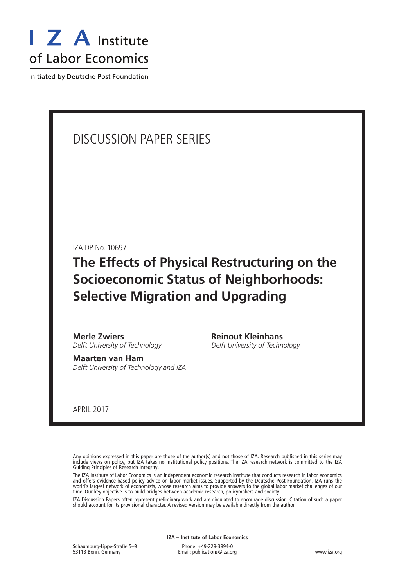

Initiated by Deutsche Post Foundation

### Discussion Paper Series

IZA DP No. 10697

**The Effects of Physical Restructuring on the Socioeconomic Status of Neighborhoods: Selective Migration and Upgrading**

**Merle Zwiers** *Delft University of Technology*

**Maarten van Ham** *Delft University of Technology and IZA* **Reinout Kleinhans** *Delft University of Technology*

april 2017

Any opinions expressed in this paper are those of the author(s) and not those of IZA. Research published in this series may include views on policy, but IZA takes no institutional policy positions. The IZA research network is committed to the IZA Guiding Principles of Research Integrity.

The IZA Institute of Labor Economics is an independent economic research institute that conducts research in labor economics and offers evidence-based policy advice on labor market issues. Supported by the Deutsche Post Foundation, IZA runs the world's largest network of economists, whose research aims to provide answers to the global labor market challenges of our time. Our key objective is to build bridges between academic research, policymakers and society.

IZA Discussion Papers often represent preliminary work and are circulated to encourage discussion. Citation of such a paper should account for its provisional character. A revised version may be available directly from the author.

**IZA – Institute of Labor Economics**

| Schaumburg-Lippe-Straße 5-9 | Phone: +49-228-3894-0       |             |
|-----------------------------|-----------------------------|-------------|
| 53113 Bonn, Germany         | Email: publications@iza.org | www.iza.org |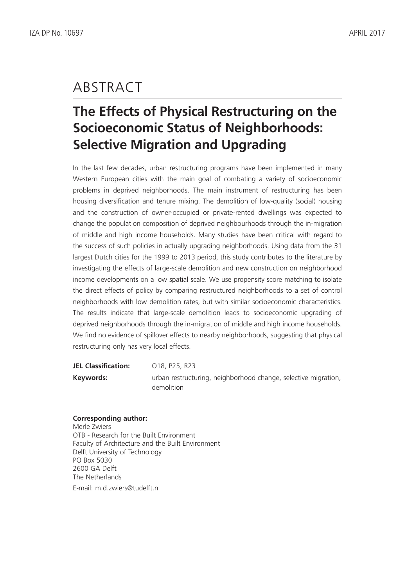### **ABSTRACT**

# **The Effects of Physical Restructuring on the Socioeconomic Status of Neighborhoods: Selective Migration and Upgrading**

In the last few decades, urban restructuring programs have been implemented in many Western European cities with the main goal of combating a variety of socioeconomic problems in deprived neighborhoods. The main instrument of restructuring has been housing diversification and tenure mixing. The demolition of low-quality (social) housing and the construction of owner-occupied or private-rented dwellings was expected to change the population composition of deprived neighbourhoods through the in-migration of middle and high income households. Many studies have been critical with regard to the success of such policies in actually upgrading neighborhoods. Using data from the 31 largest Dutch cities for the 1999 to 2013 period, this study contributes to the literature by investigating the effects of large-scale demolition and new construction on neighborhood income developments on a low spatial scale. We use propensity score matching to isolate the direct effects of policy by comparing restructured neighborhoods to a set of control neighborhoods with low demolition rates, but with similar socioeconomic characteristics. The results indicate that large-scale demolition leads to socioeconomic upgrading of deprived neighborhoods through the in-migration of middle and high income households. We find no evidence of spillover effects to nearby neighborhoods, suggesting that physical restructuring only has very local effects.

| JEL Classification: | O18, P25, R23                                                  |
|---------------------|----------------------------------------------------------------|
| Keywords:           | urban restructuring, neighborhood change, selective migration, |
|                     | demolition                                                     |

### **Corresponding author:**

Merle Zwiers OTB - Research for the Built Environment Faculty of Architecture and the Built Environment Delft University of Technology PO Box 5030 2600 GA Delft The Netherlands

E-mail: m.d.zwiers@tudelft.nl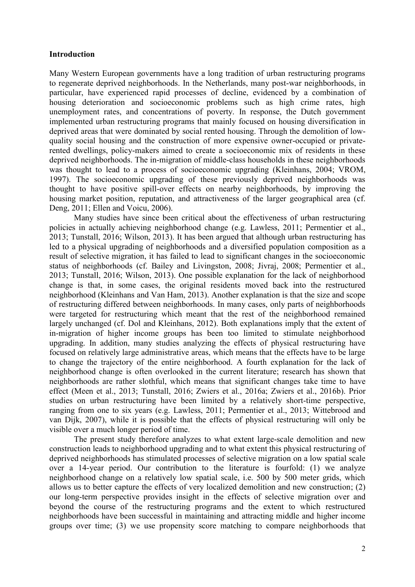#### **Introduction**

Many Western European governments have a long tradition of urban restructuring programs to regenerate deprived neighborhoods. In the Netherlands, many post-war neighborhoods, in particular, have experienced rapid processes of decline, evidenced by a combination of housing deterioration and socioeconomic problems such as high crime rates, high unemployment rates, and concentrations of poverty. In response, the Dutch government implemented urban restructuring programs that mainly focused on housing diversification in deprived areas that were dominated by social rented housing. Through the demolition of lowquality social housing and the construction of more expensive owner-occupied or privaterented dwellings, policy-makers aimed to create a socioeconomic mix of residents in these deprived neighborhoods. The in-migration of middle-class households in these neighborhoods was thought to lead to a process of socioeconomic upgrading (Kleinhans, 2004; VROM, 1997). The socioeconomic upgrading of these previously deprived neighborhoods was thought to have positive spill-over effects on nearby neighborhoods, by improving the housing market position, reputation, and attractiveness of the larger geographical area (cf. Deng, 2011; Ellen and Voicu, 2006).

Many studies have since been critical about the effectiveness of urban restructuring policies in actually achieving neighborhood change (e.g. Lawless, 2011; Permentier et al., 2013; Tunstall, 2016; Wilson, 2013). It has been argued that although urban restructuring has led to a physical upgrading of neighborhoods and a diversified population composition as a result of selective migration, it has failed to lead to significant changes in the socioeconomic status of neighborhoods (cf. Bailey and Livingston, 2008; Jivraj, 2008; Permentier et al., 2013; Tunstall, 2016; Wilson, 2013). One possible explanation for the lack of neighborhood change is that, in some cases, the original residents moved back into the restructured neighborhood (Kleinhans and Van Ham, 2013). Another explanation is that the size and scope of restructuring differed between neighborhoods. In many cases, only parts of neighborhoods were targeted for restructuring which meant that the rest of the neighborhood remained largely unchanged (cf. Dol and Kleinhans, 2012). Both explanations imply that the extent of in-migration of higher income groups has been too limited to stimulate neighborhood upgrading. In addition, many studies analyzing the effects of physical restructuring have focused on relatively large administrative areas, which means that the effects have to be large to change the trajectory of the entire neighborhood. A fourth explanation for the lack of neighborhood change is often overlooked in the current literature; research has shown that neighborhoods are rather slothful, which means that significant changes take time to have effect (Meen et al., 2013; Tunstall, 2016; Zwiers et al., 2016a; Zwiers et al., 2016b). Prior studies on urban restructuring have been limited by a relatively short-time perspective, ranging from one to six years (e.g. Lawless, 2011; Permentier et al., 2013; Wittebrood and van Dijk, 2007), while it is possible that the effects of physical restructuring will only be visible over a much longer period of time.

The present study therefore analyzes to what extent large-scale demolition and new construction leads to neighborhood upgrading and to what extent this physical restructuring of deprived neighborhoods has stimulated processes of selective migration on a low spatial scale over a 14-year period. Our contribution to the literature is fourfold: (1) we analyze neighborhood change on a relatively low spatial scale, i.e. 500 by 500 meter grids, which allows us to better capture the effects of very localized demolition and new construction; (2) our long-term perspective provides insight in the effects of selective migration over and beyond the course of the restructuring programs and the extent to which restructured neighborhoods have been successful in maintaining and attracting middle and higher income groups over time; (3) we use propensity score matching to compare neighborhoods that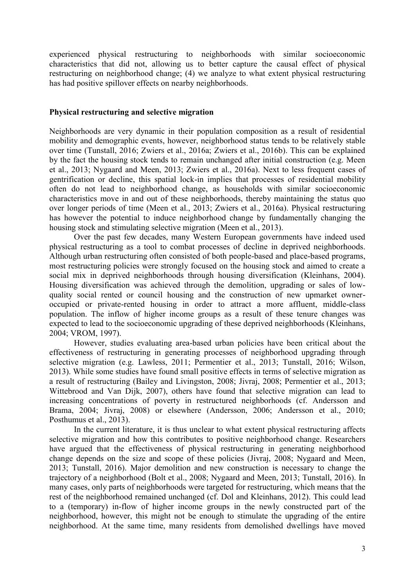experienced physical restructuring to neighborhoods with similar socioeconomic characteristics that did not, allowing us to better capture the causal effect of physical restructuring on neighborhood change; (4) we analyze to what extent physical restructuring has had positive spillover effects on nearby neighborhoods.

#### **Physical restructuring and selective migration**

Neighborhoods are very dynamic in their population composition as a result of residential mobility and demographic events, however, neighborhood status tends to be relatively stable over time (Tunstall, 2016; Zwiers et al., 2016a; Zwiers et al., 2016b). This can be explained by the fact the housing stock tends to remain unchanged after initial construction (e.g. Meen et al., 2013; Nygaard and Meen, 2013; Zwiers et al., 2016a). Next to less frequent cases of gentrification or decline, this spatial lock-in implies that processes of residential mobility often do not lead to neighborhood change, as households with similar socioeconomic characteristics move in and out of these neighborhoods, thereby maintaining the status quo over longer periods of time (Meen et al., 2013; Zwiers et al., 2016a). Physical restructuring has however the potential to induce neighborhood change by fundamentally changing the housing stock and stimulating selective migration (Meen et al., 2013).

Over the past few decades, many Western European governments have indeed used physical restructuring as a tool to combat processes of decline in deprived neighborhoods. Although urban restructuring often consisted of both people-based and place-based programs, most restructuring policies were strongly focused on the housing stock and aimed to create a social mix in deprived neighborhoods through housing diversification (Kleinhans, 2004). Housing diversification was achieved through the demolition, upgrading or sales of lowquality social rented or council housing and the construction of new upmarket owneroccupied or private-rented housing in order to attract a more affluent, middle-class population. The inflow of higher income groups as a result of these tenure changes was expected to lead to the socioeconomic upgrading of these deprived neighborhoods (Kleinhans, 2004; VROM, 1997).

However, studies evaluating area-based urban policies have been critical about the effectiveness of restructuring in generating processes of neighborhood upgrading through selective migration (e.g. Lawless, 2011; Permentier et al., 2013; Tunstall, 2016; Wilson, 2013). While some studies have found small positive effects in terms of selective migration as a result of restructuring (Bailey and Livingston, 2008; Jivraj, 2008; Permentier et al., 2013; Wittebrood and Van Dijk, 2007), others have found that selective migration can lead to increasing concentrations of poverty in restructured neighborhoods (cf. Andersson and Brama, 2004; Jivraj, 2008) or elsewhere (Andersson, 2006; Andersson et al., 2010; Posthumus et al., 2013).

In the current literature, it is thus unclear to what extent physical restructuring affects selective migration and how this contributes to positive neighborhood change. Researchers have argued that the effectiveness of physical restructuring in generating neighborhood change depends on the size and scope of these policies (Jivraj, 2008; Nygaard and Meen, 2013; Tunstall, 2016). Major demolition and new construction is necessary to change the trajectory of a neighborhood (Bolt et al., 2008; Nygaard and Meen, 2013; Tunstall, 2016). In many cases, only parts of neighborhoods were targeted for restructuring, which means that the rest of the neighborhood remained unchanged (cf. Dol and Kleinhans, 2012). This could lead to a (temporary) in-flow of higher income groups in the newly constructed part of the neighborhood, however, this might not be enough to stimulate the upgrading of the entire neighborhood. At the same time, many residents from demolished dwellings have moved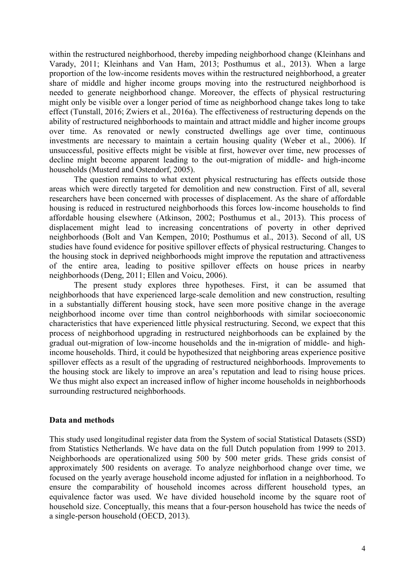within the restructured neighborhood, thereby impeding neighborhood change (Kleinhans and Varady, 2011; Kleinhans and Van Ham, 2013; Posthumus et al., 2013). When a large proportion of the low-income residents moves within the restructured neighborhood, a greater share of middle and higher income groups moving into the restructured neighborhood is needed to generate neighborhood change. Moreover, the effects of physical restructuring might only be visible over a longer period of time as neighborhood change takes long to take effect (Tunstall, 2016; Zwiers et al., 2016a). The effectiveness of restructuring depends on the ability of restructured neighborhoods to maintain and attract middle and higher income groups over time. As renovated or newly constructed dwellings age over time, continuous investments are necessary to maintain a certain housing quality (Weber et al., 2006). If unsuccessful, positive effects might be visible at first, however over time, new processes of decline might become apparent leading to the out-migration of middle- and high-income households (Musterd and Ostendorf, 2005).

The question remains to what extent physical restructuring has effects outside those areas which were directly targeted for demolition and new construction. First of all, several researchers have been concerned with processes of displacement. As the share of affordable housing is reduced in restructured neighborhoods this forces low-income households to find affordable housing elsewhere (Atkinson, 2002; Posthumus et al., 2013). This process of displacement might lead to increasing concentrations of poverty in other deprived neighborhoods (Bolt and Van Kempen, 2010; Posthumus et al., 2013). Second of all, US studies have found evidence for positive spillover effects of physical restructuring. Changes to the housing stock in deprived neighborhoods might improve the reputation and attractiveness of the entire area, leading to positive spillover effects on house prices in nearby neighborhoods (Deng, 2011; Ellen and Voicu, 2006).

The present study explores three hypotheses. First, it can be assumed that neighborhoods that have experienced large-scale demolition and new construction, resulting in a substantially different housing stock, have seen more positive change in the average neighborhood income over time than control neighborhoods with similar socioeconomic characteristics that have experienced little physical restructuring. Second, we expect that this process of neighborhood upgrading in restructured neighborhoods can be explained by the gradual out-migration of low-income households and the in-migration of middle- and highincome households. Third, it could be hypothesized that neighboring areas experience positive spillover effects as a result of the upgrading of restructured neighborhoods. Improvements to the housing stock are likely to improve an area's reputation and lead to rising house prices. We thus might also expect an increased inflow of higher income households in neighborhoods surrounding restructured neighborhoods.

#### **Data and methods**

This study used longitudinal register data from the System of social Statistical Datasets (SSD) from Statistics Netherlands. We have data on the full Dutch population from 1999 to 2013. Neighborhoods are operationalized using 500 by 500 meter grids. These grids consist of approximately 500 residents on average. To analyze neighborhood change over time, we focused on the yearly average household income adjusted for inflation in a neighborhood. To ensure the comparability of household incomes across different household types, an equivalence factor was used. We have divided household income by the square root of household size. Conceptually, this means that a four-person household has twice the needs of a single-person household (OECD, 2013).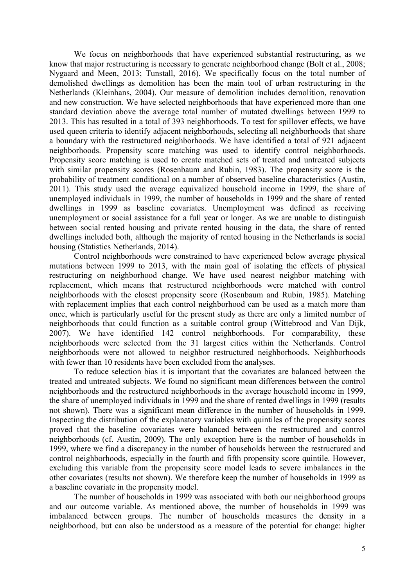We focus on neighborhoods that have experienced substantial restructuring, as we know that major restructuring is necessary to generate neighborhood change (Bolt et al., 2008; Nygaard and Meen, 2013; Tunstall, 2016). We specifically focus on the total number of demolished dwellings as demolition has been the main tool of urban restructuring in the Netherlands (Kleinhans, 2004). Our measure of demolition includes demolition, renovation and new construction. We have selected neighborhoods that have experienced more than one standard deviation above the average total number of mutated dwellings between 1999 to 2013. This has resulted in a total of 393 neighborhoods. To test for spillover effects, we have used queen criteria to identify adjacent neighborhoods, selecting all neighborhoods that share a boundary with the restructured neighborhoods. We have identified a total of 921 adjacent neighborhoods. Propensity score matching was used to identify control neighborhoods. Propensity score matching is used to create matched sets of treated and untreated subjects with similar propensity scores (Rosenbaum and Rubin, 1983). The propensity score is the probability of treatment conditional on a number of observed baseline characteristics (Austin, 2011). This study used the average equivalized household income in 1999, the share of unemployed individuals in 1999, the number of households in 1999 and the share of rented dwellings in 1999 as baseline covariates. Unemployment was defined as receiving unemployment or social assistance for a full year or longer. As we are unable to distinguish between social rented housing and private rented housing in the data, the share of rented dwellings included both, although the majority of rented housing in the Netherlands is social housing (Statistics Netherlands, 2014).

Control neighborhoods were constrained to have experienced below average physical mutations between 1999 to 2013, with the main goal of isolating the effects of physical restructuring on neighborhood change. We have used nearest neighbor matching with replacement, which means that restructured neighborhoods were matched with control neighborhoods with the closest propensity score (Rosenbaum and Rubin, 1985). Matching with replacement implies that each control neighborhood can be used as a match more than once, which is particularly useful for the present study as there are only a limited number of neighborhoods that could function as a suitable control group (Wittebrood and Van Dijk, 2007). We have identified 142 control neighborhoods. For comparability, these neighborhoods were selected from the 31 largest cities within the Netherlands. Control neighborhoods were not allowed to neighbor restructured neighborhoods. Neighborhoods with fewer than 10 residents have been excluded from the analyses.

To reduce selection bias it is important that the covariates are balanced between the treated and untreated subjects. We found no significant mean differences between the control neighborhoods and the restructured neighborhoods in the average household income in 1999, the share of unemployed individuals in 1999 and the share of rented dwellings in 1999 (results not shown). There was a significant mean difference in the number of households in 1999. Inspecting the distribution of the explanatory variables with quintiles of the propensity scores proved that the baseline covariates were balanced between the restructured and control neighborhoods (cf. Austin, 2009). The only exception here is the number of households in 1999, where we find a discrepancy in the number of households between the restructured and control neighborhoods, especially in the fourth and fifth propensity score quintile. However, excluding this variable from the propensity score model leads to severe imbalances in the other covariates (results not shown). We therefore keep the number of households in 1999 as a baseline covariate in the propensity model.

The number of households in 1999 was associated with both our neighborhood groups and our outcome variable. As mentioned above, the number of households in 1999 was imbalanced between groups. The number of households measures the density in a neighborhood, but can also be understood as a measure of the potential for change: higher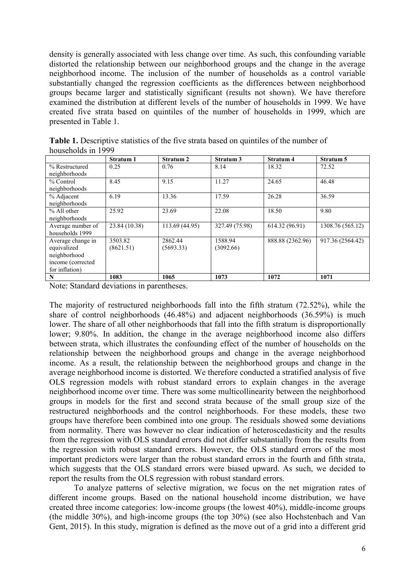density is generally associated with less change over time. As such, this confounding variable distorted the relationship between our neighborhood groups and the change in the average neighborhood income. The inclusion of the number of households as a control variable substantially changed the regression coefficients as the differences between neighborhood groups became larger and statistically significant (results not shown). We have therefore examined the distribution at different levels of the number of households in 1999. We have created five strata based on quintiles of the number of households in 1999, which are presented in Table 1.

| 110a901101a9 111 1777 |                                            |                |                |                  |                  |  |
|-----------------------|--------------------------------------------|----------------|----------------|------------------|------------------|--|
|                       | <b>Stratum 1</b><br>Stratum 2<br>Stratum 3 |                | Stratum 4      | Stratum 5        |                  |  |
| % Restructured        | 0.25                                       | 0.76           | 8.14           | 18.32            | 72.52            |  |
| neighborhoods         |                                            |                |                |                  |                  |  |
| % Control             | 8.45                                       | 9.15           | 11.27          | 24.65            | 46.48            |  |
| neighborhoods         |                                            |                |                |                  |                  |  |
| % Adjacent            | 6.19                                       | 13.36          | 17.59          | 26.28            | 36.59            |  |
| neighborhoods         |                                            |                |                |                  |                  |  |
| % All other           | 25.92                                      | 23.69          | 22.08          | 18.50            | 9.80             |  |
| neighborhoods         |                                            |                |                |                  |                  |  |
| Average number of     | 23.84 (10.38)                              | 113.69 (44.95) | 327.49 (75.98) | 614.32 (96.91)   | 1308.76 (565.12) |  |
| households 1999       |                                            |                |                |                  |                  |  |
| Average change in     | 3503.82                                    | 2862.44        | 1588.94        | 888.88 (2362.96) | 917.36 (2564.42) |  |
| equivalized           | (8621.51)                                  | (5693.33)      | (3092.66)      |                  |                  |  |
| neighborhood          |                                            |                |                |                  |                  |  |
| income (corrected     |                                            |                |                |                  |                  |  |
| for inflation)        |                                            |                |                |                  |                  |  |
| N                     | 1083                                       | 1065           | 1073           | 1072             | 1071             |  |

**Table 1.** Descriptive statistics of the five strata based on quintiles of the number of households in 1999

Note: Standard deviations in parentheses.

The majority of restructured neighborhoods fall into the fifth stratum (72.52%), while the share of control neighborhoods (46.48%) and adjacent neighborhoods (36.59%) is much lower. The share of all other neighborhoods that fall into the fifth stratum is disproportionally lower; 9.80%. In addition, the change in the average neighborhood income also differs between strata, which illustrates the confounding effect of the number of households on the relationship between the neighborhood groups and change in the average neighborhood income. As a result, the relationship between the neighborhood groups and change in the average neighborhood income is distorted. We therefore conducted a stratified analysis of five OLS regression models with robust standard errors to explain changes in the average neighborhood income over time. There was some multicollinearity between the neighborhood groups in models for the first and second strata because of the small group size of the restructured neighborhoods and the control neighborhoods. For these models, these two groups have therefore been combined into one group. The residuals showed some deviations from normality. There was however no clear indication of heteroscedasticity and the results from the regression with OLS standard errors did not differ substantially from the results from the regression with robust standard errors. However, the OLS standard errors of the most important predictors were larger than the robust standard errors in the fourth and fifth strata, which suggests that the OLS standard errors were biased upward. As such, we decided to report the results from the OLS regression with robust standard errors.

To analyze patterns of selective migration, we focus on the net migration rates of different income groups. Based on the national household income distribution, we have created three income categories: low-income groups (the lowest 40%), middle-income groups (the middle 30%), and high-income groups (the top 30%) (see also Hochstenbach and Van Gent, 2015). In this study, migration is defined as the move out of a grid into a different grid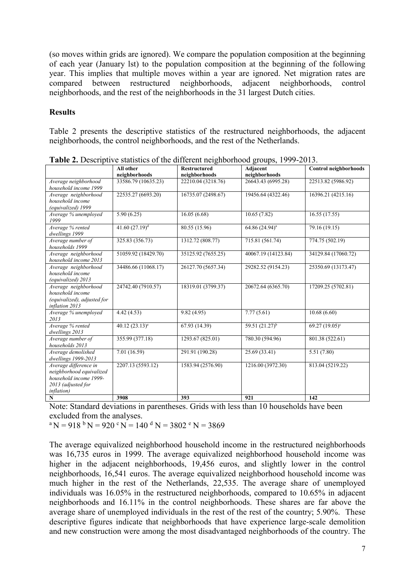(so moves within grids are ignored). We compare the population composition at the beginning of each year (January lst) to the population composition at the beginning of the following year. This implies that multiple moves within a year are ignored. Net migration rates are compared between restructured neighborhoods, adjacent neighborhoods, control neighborhoods, and the rest of the neighborhoods in the 31 largest Dutch cities.

#### **Results**

Table 2 presents the descriptive statistics of the restructured neighborhoods, the adjacent neighborhoods, the control neighborhoods, and the rest of the Netherlands.

|                                                                                                                         |                             | <b>There Example 18</b> Sumbles of the university heighborhood groups, 1999 <b>2</b> 019. |                           |                       |
|-------------------------------------------------------------------------------------------------------------------------|-----------------------------|-------------------------------------------------------------------------------------------|---------------------------|-----------------------|
|                                                                                                                         | All other<br>neighborhoods  | <b>Restructured</b><br>neighborhoods                                                      | Adjacent<br>neighborhoods | Control neighborhoods |
| Average neighborhood<br>household income 1999                                                                           | 33586.79 (10635.23)         | 22210.04 (3218.76)                                                                        | 26643.43 (6995.28)        | 22513.82 (5986.92)    |
| Average neighborhood<br>household income<br>(equivalized) 1999                                                          | 22535.27 (6693.20)          | 16735.07 (2498.67)                                                                        | 19456.64 (4322.46)        | 16396.21 (4215.16)    |
| Average % unemployed<br>1999                                                                                            | 5.90(6.25)                  | 16.05(6.68)                                                                               | 10.65(7.82)               | 16.55(17.55)          |
| Average % rented<br>dwellings 1999                                                                                      | 41.60 $(27.19)^d$           | 80.55 (15.96)                                                                             | $64.86 (24.94)^a$         | 79.16(19.15)          |
| Average number of<br>households 1999                                                                                    | 325.83 (356.73)             | 1312.72 (808.77)                                                                          | 715.81 (561.74)           | 774.75 (502.19)       |
| Average neighborhood<br>household income 2013                                                                           | 51059.92 (18429.70)         | 35125.92 (7655.25)                                                                        | 40067.19 (14123.84)       | 34129.84 (17060.72)   |
| Average neighborhood<br>household income<br>(equivalized) 2013                                                          | 34486.66 (11068.17)         | 26127.70 (5657.34)                                                                        | 29282.52 (9154.23)        | 25350.69 (13173.47)   |
| Average neighborhood<br>household income<br>(equivalized), adjusted for<br>inflation 2013                               | 24742.40 (7910.57)          | 18319.01 (3799.37)                                                                        | 20672.64 (6365.70)        | 17209.25 (5702.81)    |
| Average % unemployed<br>2013                                                                                            | 4.42(4.53)                  | 9.82(4.95)                                                                                | 7.77(5.61)                | 10.68(6.60)           |
| Average % rented<br>dwellings 2013                                                                                      | $40.\overline{12(23.13)^e}$ | 67.93 (14.39)                                                                             | $59.51(21.27)^{b}$        | 69.27 $(19.05)^c$     |
| Average number of<br>households 2013                                                                                    | 355.99 (377.18)             | 1293.67 (825.01)                                                                          | 780.30 (594.96)           | 801.38 (522.61)       |
| Average demolished<br>dwellings 1999-2013                                                                               | 7.01 (16.59)                | 291.91 (190.28)                                                                           | 25.69 (33.41)             | 5.51(7.80)            |
| Average difference in<br>neighborhood equivalized<br>household income 1999-<br>2013 (adjusted for<br><i>inflation</i> ) | 2207.13 (5593.12)           | 1583.94 (2576.90)                                                                         | 1216.00 (3972.30)         | 813.04 (5219.22)      |
| N                                                                                                                       | 3908                        | 393                                                                                       | 921                       | 142                   |

**Table 2.** Descriptive statistics of the different neighborhood groups, 1999-2013.

Note: Standard deviations in parentheses. Grids with less than 10 households have been excluded from the analyses.

 $\rm{^{a}N} = 918$  b  $\rm{N} = 920$  c  $\rm{N} = 140$  d  $\rm{N} = 3802$  c  $\rm{N} = 3869$ 

The average equivalized neighborhood household income in the restructured neighborhoods was 16,735 euros in 1999. The average equivalized neighborhood household income was higher in the adjacent neighborhoods, 19,456 euros, and slightly lower in the control neighborhoods, 16,541 euros. The average equivalized neighborhood household income was much higher in the rest of the Netherlands, 22,535. The average share of unemployed individuals was 16.05% in the restructured neighborhoods, compared to 10.65% in adjacent neighborhoods and 16.11% in the control neighborhoods. These shares are far above the average share of unemployed individuals in the rest of the rest of the country; 5.90%. These descriptive figures indicate that neighborhoods that have experience large-scale demolition and new construction were among the most disadvantaged neighborhoods of the country. The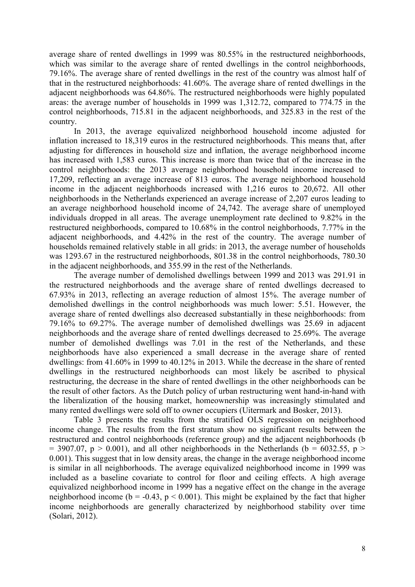average share of rented dwellings in 1999 was 80.55% in the restructured neighborhoods, which was similar to the average share of rented dwellings in the control neighborhoods, 79.16%. The average share of rented dwellings in the rest of the country was almost half of that in the restructured neighborhoods: 41.60%. The average share of rented dwellings in the adjacent neighborhoods was 64.86%. The restructured neighborhoods were highly populated areas: the average number of households in 1999 was 1,312.72, compared to 774.75 in the control neighborhoods, 715.81 in the adjacent neighborhoods, and 325.83 in the rest of the country.

In 2013, the average equivalized neighborhood household income adjusted for inflation increased to 18,319 euros in the restructured neighborhoods. This means that, after adjusting for differences in household size and inflation, the average neighborhood income has increased with 1,583 euros. This increase is more than twice that of the increase in the control neighborhoods: the 2013 average neighborhood household income increased to 17,209, reflecting an average increase of 813 euros. The average neighborhood household income in the adjacent neighborhoods increased with 1,216 euros to 20,672. All other neighborhoods in the Netherlands experienced an average increase of 2,207 euros leading to an average neighborhood household income of 24,742. The average share of unemployed individuals dropped in all areas. The average unemployment rate declined to 9.82% in the restructured neighborhoods, compared to 10.68% in the control neighborhoods, 7.77% in the adjacent neighborhoods, and 4.42% in the rest of the country. The average number of households remained relatively stable in all grids: in 2013, the average number of households was 1293.67 in the restructured neighborhoods, 801.38 in the control neighborhoods, 780.30 in the adjacent neighborhoods, and 355.99 in the rest of the Netherlands.

The average number of demolished dwellings between 1999 and 2013 was 291.91 in the restructured neighborhoods and the average share of rented dwellings decreased to 67.93% in 2013, reflecting an average reduction of almost 15%. The average number of demolished dwellings in the control neighborhoods was much lower: 5.51. However, the average share of rented dwellings also decreased substantially in these neighborhoods: from 79.16% to 69.27%. The average number of demolished dwellings was 25.69 in adjacent neighborhoods and the average share of rented dwellings decreased to 25.69%. The average number of demolished dwellings was 7.01 in the rest of the Netherlands, and these neighborhoods have also experienced a small decrease in the average share of rented dwellings: from 41.60% in 1999 to 40.12% in 2013. While the decrease in the share of rented dwellings in the restructured neighborhoods can most likely be ascribed to physical restructuring, the decrease in the share of rented dwellings in the other neighborhoods can be the result of other factors. As the Dutch policy of urban restructuring went hand-in-hand with the liberalization of the housing market, homeownership was increasingly stimulated and many rented dwellings were sold off to owner occupiers (Uitermark and Bosker, 2013).

Table 3 presents the results from the stratified OLS regression on neighborhood income change. The results from the first stratum show no significant results between the restructured and control neighborhoods (reference group) and the adjacent neighborhoods (b  $=$  3907.07, p > 0.001), and all other neighborhoods in the Netherlands (b = 6032.55, p > 0.001). This suggest that in low density areas, the change in the average neighborhood income is similar in all neighborhoods. The average equivalized neighborhood income in 1999 was included as a baseline covariate to control for floor and ceiling effects. A high average equivalized neighborhood income in 1999 has a negative effect on the change in the average neighborhood income ( $b = -0.43$ ,  $p < 0.001$ ). This might be explained by the fact that higher income neighborhoods are generally characterized by neighborhood stability over time (Solari, 2012).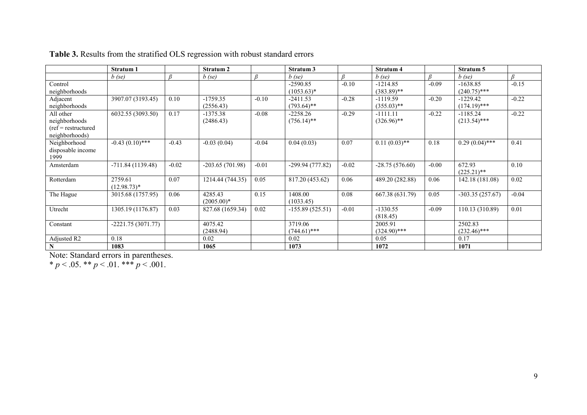|                                                                      | Stratum 1                |         | Stratum 2               |         | Stratum 3                   |         | Stratum 4                   |         | Stratum 5                    |         |
|----------------------------------------------------------------------|--------------------------|---------|-------------------------|---------|-----------------------------|---------|-----------------------------|---------|------------------------------|---------|
|                                                                      | $b$ (se)                 | R       | $b$ (se)                | ß       | $b$ (se)                    | R       | $b$ (se)                    | R       | $b$ (se)                     | $\beta$ |
| Control<br>neighborhoods                                             |                          |         |                         |         | $-2590.85$<br>$(1053.63)*$  | $-0.10$ | $-1214.85$<br>$(383.89)$ ** | $-0.09$ | $-1638.85$<br>$(240.75)$ *** | $-0.15$ |
| Adjacent<br>neighborhoods                                            | 3907.07 (3193.45)        | 0.10    | $-1759.35$<br>(2556.43) | $-0.10$ | $-2411.53$<br>$(793.64)$ ** | $-0.28$ | $-1119.59$<br>$(355.03)$ ** | $-0.20$ | $-1229.42$<br>$(174.19)$ *** | $-0.22$ |
| All other<br>neighborhoods<br>$(ref = restructure$<br>neighborhoods) | 6032.55 (3093.50)        | 0.17    | $-1375.38$<br>(2486.43) | $-0.08$ | $-2258.26$<br>$(756.14)$ ** | $-0.29$ | $-1111.11$<br>$(326.96)$ ** | $-0.22$ | $-1185.24$<br>$(213.54)$ *** | $-0.22$ |
| Neighborhood<br>disposable income<br>1999                            | $-0.43(0.10)$ ***        | $-0.43$ | $-0.03(0.04)$           | $-0.04$ | 0.04(0.03)                  | 0.07    | $0.11(0.03)$ **             | 0.18    | $0.29(0.04)$ ***             | 0.41    |
| Amsterdam                                                            | $-711.84(1139.48)$       | $-0.02$ | $-203.65(701.98)$       | $-0.01$ | -299.94 (777.82)            | $-0.02$ | $-28.75(576.60)$            | $-0.00$ | 672.93<br>$(225.21)$ **      | 0.10    |
| Rotterdam                                                            | 2759.61<br>$(12.98.73)*$ | 0.07    | 1214.44 (744.35)        | 0.05    | 817.20 (453.62)             | 0.06    | 489.20 (282.88)             | 0.06    | 142.18 (181.08)              | 0.02    |
| The Hague                                                            | 3015.68 (1757.95)        | 0.06    | 4285.43<br>$(2005.00)*$ | 0.15    | 1408.00<br>(1033.45)        | 0.08    | 667.38 (631.79)             | 0.05    | $-303.35(257.67)$            | $-0.04$ |
| Utrecht                                                              | 1305.19 (1176.87)        | 0.03    | 827.68 (1659.34)        | 0.02    | $-155.89(525.51)$           | $-0.01$ | $-1330.55$<br>(818.45)      | $-0.09$ | 110.13 (310.89)              | 0.01    |
| Constant                                                             | $-2221.75(3071.77)$      |         | 4075.42<br>(2488.94)    |         | 3719.06<br>$(744.61)$ ***   |         | 2005.91<br>$(324.90)$ ***   |         | 2502.83<br>$(232.46)$ ***    |         |
| Adjusted R2                                                          | 0.18                     |         | 0.02                    |         | 0.02                        |         | 0.05                        |         | 0.17                         |         |
| $\mathbf N$                                                          | 1083                     |         | 1065                    |         | 1073                        |         | 1072                        |         | 1071                         |         |

**Table 3.** Results from the stratified OLS regression with robust standard errors

Note: Standard errors in parentheses.

 $* p < .05$ .  $* p < .01$ .  $* * p < .001$ .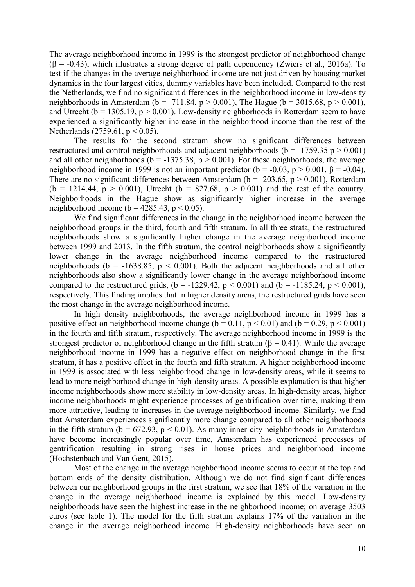The average neighborhood income in 1999 is the strongest predictor of neighborhood change  $(\beta = -0.43)$ , which illustrates a strong degree of path dependency (Zwiers et al., 2016a). To test if the changes in the average neighborhood income are not just driven by housing market dynamics in the four largest cities, dummy variables have been included. Compared to the rest the Netherlands, we find no significant differences in the neighborhood income in low-density neighborhoods in Amsterdam (b = -711.84, p > 0.001), The Hague (b = 3015.68, p > 0.001), and Utrecht ( $b = 1305.19$ ,  $p > 0.001$ ). Low-density neighborhoods in Rotterdam seem to have experienced a significantly higher increase in the neighborhood income than the rest of the Netherlands (2759.61,  $p < 0.05$ ).

The results for the second stratum show no significant differences between restructured and control neighborhoods and adjacent neighborhoods ( $b = -1759.35$  p  $> 0.001$ ) and all other neighborhoods ( $b = -1375.38$ ,  $p > 0.001$ ). For these neighborhoods, the average neighborhood income in 1999 is not an important predictor (b = -0.03, p > 0.001,  $\beta$  = -0.04). There are no significant differences between Amsterdam ( $b = -203.65$ ,  $p > 0.001$ ), Rotterdam  $(b = 1214.44, p > 0.001)$ , Utrecht  $(b = 827.68, p > 0.001)$  and the rest of the country. Neighborhoods in the Hague show as significantly higher increase in the average neighborhood income (b =  $4285.43$ , p < 0.05).

We find significant differences in the change in the neighborhood income between the neighborhood groups in the third, fourth and fifth stratum. In all three strata, the restructured neighborhoods show a significantly higher change in the average neighborhood income between 1999 and 2013. In the fifth stratum, the control neighborhoods show a significantly lower change in the average neighborhood income compared to the restructured neighborhoods (b = -1638.85,  $p < 0.001$ ). Both the adjacent neighborhoods and all other neighborhoods also show a significantly lower change in the average neighborhood income compared to the restructured grids,  $(b = -1229.42, p < 0.001)$  and  $(b = -1185.24, p < 0.001)$ , respectively. This finding implies that in higher density areas, the restructured grids have seen the most change in the average neighborhood income.

In high density neighborhoods, the average neighborhood income in 1999 has a positive effect on neighborhood income change ( $b = 0.11$ ,  $p < 0.01$ ) and ( $b = 0.29$ ,  $p < 0.001$ ) in the fourth and fifth stratum, respectively. The average neighborhood income in 1999 is the strongest predictor of neighborhood change in the fifth stratum ( $\beta$  = 0.41). While the average neighborhood income in 1999 has a negative effect on neighborhood change in the first stratum, it has a positive effect in the fourth and fifth stratum. A higher neighborhood income in 1999 is associated with less neighborhood change in low-density areas, while it seems to lead to more neighborhood change in high-density areas. A possible explanation is that higher income neighborhoods show more stability in low-density areas. In high-density areas, higher income neighborhoods might experience processes of gentrification over time, making them more attractive, leading to increases in the average neighborhood income. Similarly, we find that Amsterdam experiences significantly more change compared to all other neighborhoods in the fifth stratum ( $b = 672.93$ ,  $p < 0.01$ ). As many inner-city neighborhoods in Amsterdam have become increasingly popular over time, Amsterdam has experienced processes of gentrification resulting in strong rises in house prices and neighborhood income (Hochstenbach and Van Gent, 2015).

Most of the change in the average neighborhood income seems to occur at the top and bottom ends of the density distribution. Although we do not find significant differences between our neighborhood groups in the first stratum, we see that 18% of the variation in the change in the average neighborhood income is explained by this model. Low-density neighborhoods have seen the highest increase in the neighborhood income; on average 3503 euros (see table 1). The model for the fifth stratum explains 17% of the variation in the change in the average neighborhood income. High-density neighborhoods have seen an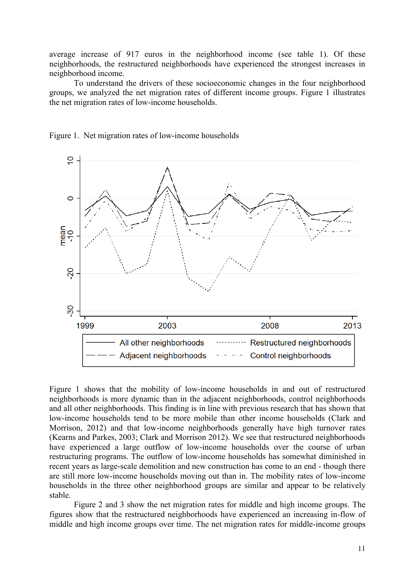average increase of 917 euros in the neighborhood income (see table 1). Of these neighborhoods, the restructured neighborhoods have experienced the strongest increases in neighborhood income.

To understand the drivers of these socioeconomic changes in the four neighborhood groups, we analyzed the net migration rates of different income groups. Figure 1 illustrates the net migration rates of low-income households.



Figure 1. Net migration rates of low-income households

Figure 1 shows that the mobility of low-income households in and out of restructured neighborhoods is more dynamic than in the adjacent neighborhoods, control neighborhoods and all other neighborhoods. This finding is in line with previous research that has shown that low-income households tend to be more mobile than other income households (Clark and Morrison, 2012) and that low-income neighborhoods generally have high turnover rates (Kearns and Parkes, 2003; Clark and Morrison 2012). We see that restructured neighborhoods have experienced a large outflow of low-income households over the course of urban restructuring programs. The outflow of low-income households has somewhat diminished in recent years as large-scale demolition and new construction has come to an end - though there are still more low-income households moving out than in. The mobility rates of low-income households in the three other neighborhood groups are similar and appear to be relatively stable.

Figure 2 and 3 show the net migration rates for middle and high income groups. The figures show that the restructured neighborhoods have experienced an increasing in-flow of middle and high income groups over time. The net migration rates for middle-income groups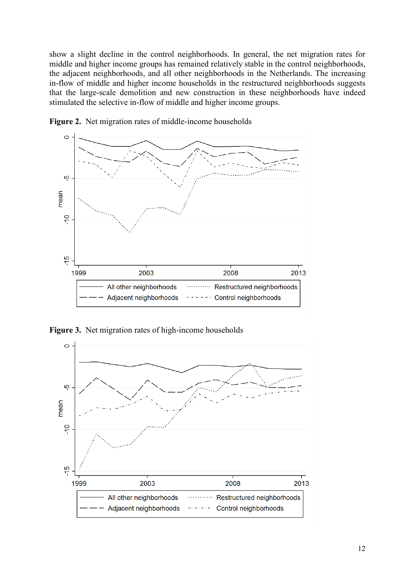show a slight decline in the control neighborhoods. In general, the net migration rates for middle and higher income groups has remained relatively stable in the control neighborhoods, the adjacent neighborhoods, and all other neighborhoods in the Netherlands. The increasing in-flow of middle and higher income households in the restructured neighborhoods suggests that the large-scale demolition and new construction in these neighborhoods have indeed stimulated the selective in-flow of middle and higher income groups.



**Figure 2.** Net migration rates of middle-income households

**Figure 3.** Net migration rates of high-income households

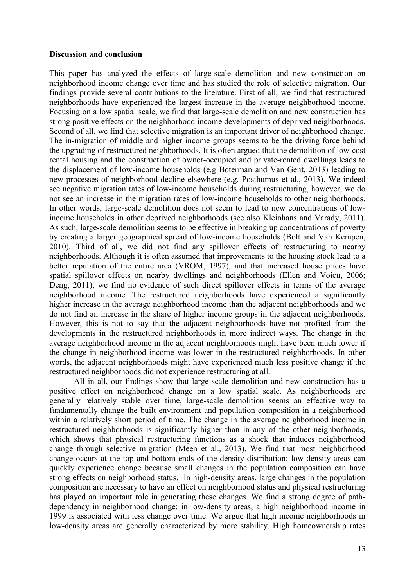#### **Discussion and conclusion**

This paper has analyzed the effects of large-scale demolition and new construction on neighborhood income change over time and has studied the role of selective migration. Our findings provide several contributions to the literature. First of all, we find that restructured neighborhoods have experienced the largest increase in the average neighborhood income. Focusing on a low spatial scale, we find that large-scale demolition and new construction has strong positive effects on the neighborhood income developments of deprived neighborhoods. Second of all, we find that selective migration is an important driver of neighborhood change. The in-migration of middle and higher income groups seems to be the driving force behind the upgrading of restructured neighborhoods. It is often argued that the demolition of low-cost rental housing and the construction of owner-occupied and private-rented dwellings leads to the displacement of low-income households (e.g Boterman and Van Gent, 2013) leading to new processes of neighborhood decline elsewhere (e.g. Posthumus et al., 2013). We indeed see negative migration rates of low-income households during restructuring, however, we do not see an increase in the migration rates of low-income households to other neighborhoods. In other words, large-scale demolition does not seem to lead to new concentrations of lowincome households in other deprived neighborhoods (see also Kleinhans and Varady, 2011). As such, large-scale demolition seems to be effective in breaking up concentrations of poverty by creating a larger geographical spread of low-income households (Bolt and Van Kempen, 2010). Third of all, we did not find any spillover effects of restructuring to nearby neighborhoods. Although it is often assumed that improvements to the housing stock lead to a better reputation of the entire area (VROM, 1997), and that increased house prices have spatial spillover effects on nearby dwellings and neighborhoods (Ellen and Voicu, 2006; Deng, 2011), we find no evidence of such direct spillover effects in terms of the average neighborhood income. The restructured neighborhoods have experienced a significantly higher increase in the average neighborhood income than the adjacent neighborhoods and we do not find an increase in the share of higher income groups in the adjacent neighborhoods. However, this is not to say that the adjacent neighborhoods have not profited from the developments in the restructured neighborhoods in more indirect ways. The change in the average neighborhood income in the adjacent neighborhoods might have been much lower if the change in neighborhood income was lower in the restructured neighborhoods. In other words, the adjacent neighborhoods might have experienced much less positive change if the restructured neighborhoods did not experience restructuring at all.

All in all, our findings show that large-scale demolition and new construction has a positive effect on neighborhood change on a low spatial scale. As neighborhoods are generally relatively stable over time, large-scale demolition seems an effective way to fundamentally change the built environment and population composition in a neighborhood within a relatively short period of time. The change in the average neighborhood income in restructured neighborhoods is significantly higher than in any of the other neighborhoods, which shows that physical restructuring functions as a shock that induces neighborhood change through selective migration (Meen et al., 2013). We find that most neighborhood change occurs at the top and bottom ends of the density distribution: low-density areas can quickly experience change because small changes in the population composition can have strong effects on neighborhood status. In high-density areas, large changes in the population composition are necessary to have an effect on neighborhood status and physical restructuring has played an important role in generating these changes. We find a strong degree of pathdependency in neighborhood change: in low-density areas, a high neighborhood income in 1999 is associated with less change over time. We argue that high income neighborhoods in low-density areas are generally characterized by more stability. High homeownership rates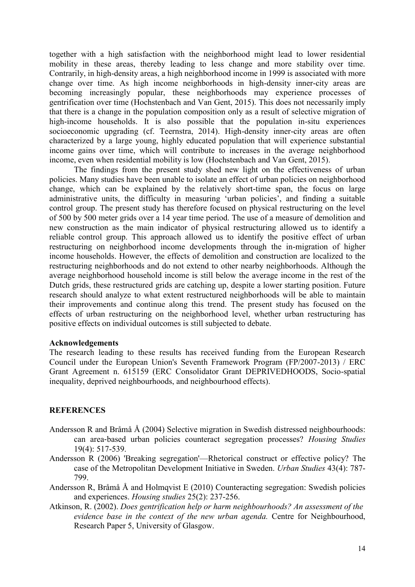together with a high satisfaction with the neighborhood might lead to lower residential mobility in these areas, thereby leading to less change and more stability over time. Contrarily, in high-density areas, a high neighborhood income in 1999 is associated with more change over time. As high income neighborhoods in high-density inner-city areas are becoming increasingly popular, these neighborhoods may experience processes of gentrification over time (Hochstenbach and Van Gent, 2015). This does not necessarily imply that there is a change in the population composition only as a result of selective migration of high-income households. It is also possible that the population in-situ experiences socioeconomic upgrading (cf. Teernstra, 2014). High-density inner-city areas are often characterized by a large young, highly educated population that will experience substantial income gains over time, which will contribute to increases in the average neighborhood income, even when residential mobility is low (Hochstenbach and Van Gent, 2015).

The findings from the present study shed new light on the effectiveness of urban policies. Many studies have been unable to isolate an effect of urban policies on neighborhood change, which can be explained by the relatively short-time span, the focus on large administrative units, the difficulty in measuring 'urban policies', and finding a suitable control group. The present study has therefore focused on physical restructuring on the level of 500 by 500 meter grids over a 14 year time period. The use of a measure of demolition and new construction as the main indicator of physical restructuring allowed us to identify a reliable control group. This approach allowed us to identify the positive effect of urban restructuring on neighborhood income developments through the in-migration of higher income households. However, the effects of demolition and construction are localized to the restructuring neighborhoods and do not extend to other nearby neighborhoods. Although the average neighborhood household income is still below the average income in the rest of the Dutch grids, these restructured grids are catching up, despite a lower starting position. Future research should analyze to what extent restructured neighborhoods will be able to maintain their improvements and continue along this trend. The present study has focused on the effects of urban restructuring on the neighborhood level, whether urban restructuring has positive effects on individual outcomes is still subjected to debate.

#### **Acknowledgements**

The research leading to these results has received funding from the European Research Council under the European Union's Seventh Framework Program (FP/2007-2013) / ERC Grant Agreement n. 615159 (ERC Consolidator Grant DEPRIVEDHOODS, Socio-spatial inequality, deprived neighbourhoods, and neighbourhood effects).

#### **REFERENCES**

- Andersson R and Bråmå Å (2004) Selective migration in Swedish distressed neighbourhoods: can area‐based urban policies counteract segregation processes? *Housing Studies*  19(4): 517-539.
- Andersson R (2006) 'Breaking segregation'—Rhetorical construct or effective policy? The case of the Metropolitan Development Initiative in Sweden. *Urban Studies* 43(4): 787- 799.
- Andersson R, Bråmå Å and Holmqvist E (2010) Counteracting segregation: Swedish policies and experiences. *Housing studies* 25(2): 237-256.
- Atkinson, R. (2002). *Does gentrification help or harm neighbourhoods? An assessment of the evidence base in the context of the new urban agenda.* Centre for Neighbourhood, Research Paper 5, University of Glasgow.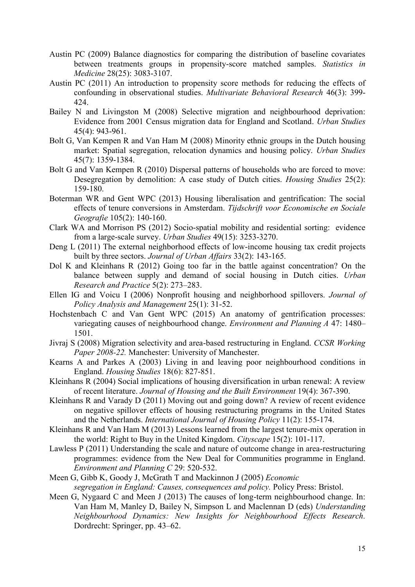- Austin PC (2009) Balance diagnostics for comparing the distribution of baseline covariates between treatments groups in propensity-score matched samples. *Statistics in Medicine* 28(25): 3083-3107.
- Austin PC (2011) An introduction to propensity score methods for reducing the effects of confounding in observational studies. *Multivariate Behavioral Research* 46(3): 399- 424.
- Bailey N and Livingston M (2008) Selective migration and neighbourhood deprivation: Evidence from 2001 Census migration data for England and Scotland. *Urban Studies* 45(4): 943-961.
- Bolt G, Van Kempen R and Van Ham M (2008) Minority ethnic groups in the Dutch housing market: Spatial segregation, relocation dynamics and housing policy. *Urban Studies*  45(7): 1359-1384.
- Bolt G and Van Kempen R (2010) Dispersal patterns of households who are forced to move: Desegregation by demolition: A case study of Dutch cities. *Housing Studies* 25(2): 159-180.
- Boterman WR and Gent WPC (2013) Housing liberalisation and gentrification: The social effects of tenure conversions in Amsterdam. *Tijdschrift voor Economische en Sociale Geografie* 105(2): 140-160.
- Clark WA and Morrison PS (2012) Socio-spatial mobility and residential sorting: evidence from a large-scale survey. *Urban Studies* 49(15): 3253-3270.
- Deng L (2011) The external neighborhood effects of low-income housing tax credit projects built by three sectors. *Journal of Urban Affairs* 33(2): 143-165.
- Dol K and Kleinhans R (2012) Going too far in the battle against concentration? On the balance between supply and demand of social housing in Dutch cities. *Urban Research and Practice* 5(2): 273–283.
- Ellen IG and Voicu I (2006) Nonprofit housing and neighborhood spillovers. *Journal of Policy Analysis and Management* 25(1): 31-52.
- Hochstenbach C and Van Gent WPC (2015) An anatomy of gentrification processes: variegating causes of neighbourhood change. *Environment and Planning A* 47: 1480– 1501.
- Jivraj S (2008) Migration selectivity and area-based restructuring in England. *CCSR Working Paper 2008-22.* Manchester: University of Manchester.
- Kearns A and Parkes A (2003) Living in and leaving poor neighbourhood conditions in England. *Housing Studies* 18(6): 827-851.
- Kleinhans R (2004) Social implications of housing diversification in urban renewal: A review of recent literature. *Journal of Housing and the Built Environment* 19(4): 367-390.
- Kleinhans R and Varady D (2011) Moving out and going down? A review of recent evidence on negative spillover effects of housing restructuring programs in the United States and the Netherlands. *International Journal of Housing Policy* 11(2): 155-174.
- Kleinhans R and Van Ham M (2013) Lessons learned from the largest tenure-mix operation in the world: Right to Buy in the United Kingdom. *Cityscape* 15(2): 101-117.
- Lawless P (2011) Understanding the scale and nature of outcome change in area-restructuring programmes: evidence from the New Deal for Communities programme in England. *Environment and Planning C* 29: 520-532.
- Meen G, Gibb K, Goody J, McGrath T and Mackinnon J (2005) *Economic segregation in England: Causes, consequences and policy.* Policy Press: Bristol.
- Meen G, Nygaard C and Meen J (2013) The causes of long-term neighbourhood change. In: Van Ham M, Manley D, Bailey N, Simpson L and Maclennan D (eds) *Understanding Neighbourhood Dynamics: New Insights for Neighbourhood Effects Research.*  Dordrecht: Springer, pp. 43–62.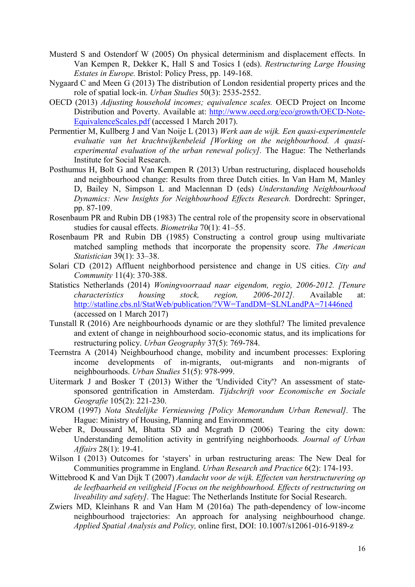- Musterd S and Ostendorf W (2005) On physical determinism and displacement effects. In Van Kempen R, Dekker K, Hall S and Tosics I (eds). *Restructuring Large Housing Estates in Europe.* Bristol: Policy Press, pp. 149-168.
- Nygaard C and Meen G (2013) The distribution of London residential property prices and the role of spatial lock-in. *Urban Studies* 50(3): 2535-2552.
- OECD (2013) *Adjusting household incomes; equivalence scales.* OECD Project on Income Distribution and Poverty. Available at: [http://www.oecd.org/eco/growth/OECD-Note-](http://www.oecd.org/eco/growth/OECD-Note-EquivalenceScales.pdf)[EquivalenceScales.pdf](http://www.oecd.org/eco/growth/OECD-Note-EquivalenceScales.pdf) (accessed 1 March 2017).
- Permentier M, Kullberg J and Van Noije L (2013) *Werk aan de wijk. Een quasi-experimentele evaluatie van het krachtwijkenbeleid [Working on the neighbourhood. A quasiexperimental evaluation of the urban renewal policy].* The Hague: The Netherlands Institute for Social Research.
- Posthumus H, Bolt G and Van Kempen R (2013) Urban restructuring, displaced households and neighbourhood change: Results from three Dutch cities. In Van Ham M, Manley D, Bailey N, Simpson L and Maclennan D (eds) *Understanding Neighbourhood Dynamics: New Insights for Neighbourhood Effects Research.* Dordrecht: Springer, pp. 87-109.
- Rosenbaum PR and Rubin DB (1983) The central role of the propensity score in observational studies for causal effects. *Biometrika* 70(1): 41–55.
- Rosenbaum PR and Rubin DB (1985) Constructing a control group using multivariate matched sampling methods that incorporate the propensity score. *The American Statistician* 39(1): 33–38.
- Solari CD (2012) Affluent neighborhood persistence and change in US cities. *City and Community* 11(4): 370-388.
- Statistics Netherlands (2014) *Woningvoorraad naar eigendom, regio, 2006-2012. [Tenure characteristics housing stock, region, 2006-2012].* Available at: [http://statline.cbs.nl/StatWeb/publication/?VW=TandDM=SLNLandPA=71446ned](http://statline.cbs.nl/StatWeb/publication/?VW=T&DM=SLNL&PA=71446ned) (accessed on 1 March 2017)
- Tunstall R (2016) Are neighbourhoods dynamic or are they slothful? The limited prevalence and extent of change in neighbourhood socio-economic status, and its implications for restructuring policy. *Urban Geography* 37(5): 769-784.
- Teernstra A (2014) Neighbourhood change, mobility and incumbent processes: Exploring income developments of in-migrants, out-migrants and non-migrants of neighbourhoods. *Urban Studies* 51(5): 978-999.
- Uitermark J and Bosker T (2013) Wither the 'Undivided City'? An assessment of state‐ sponsored gentrification in Amsterdam. *Tijdschrift voor Economische en Sociale Geografie* 105(2): 221-230.
- VROM (1997) *Nota Stedelijke Vernieuwing [Policy Memorandum Urban Renewal].* The Hague: Ministry of Housing, Planning and Environment.
- Weber R, Doussard M, Bhatta SD and Mcgrath D (2006) Tearing the city down: Understanding demolition activity in gentrifying neighborhoods*. Journal of Urban Affairs* 28(1): 19-41.
- Wilson I (2013) Outcomes for 'stayers' in urban restructuring areas: The New Deal for Communities programme in England. *Urban Research and Practice* 6(2): 174-193.
- Wittebrood K and Van Dijk T (2007) *Aandacht voor de wijk. Effecten van herstructurering op de leefbaarheid en veiligheid [Focus on the neighbourhood. Effects of restructuring on liveability and safety].* The Hague: The Netherlands Institute for Social Research.
- Zwiers MD, Kleinhans R and Van Ham M (2016a) The path-dependency of low-income neighbourhood trajectories: An approach for analysing neighbourhood change. *Applied Spatial Analysis and Policy,* online first, DOI: 10.1007/s12061-016-9189-z